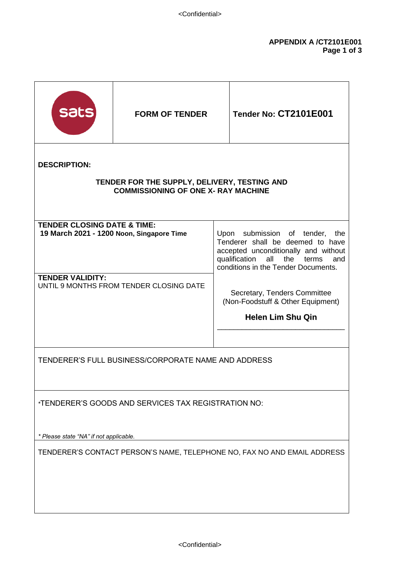| sats                                                                                                              | <b>FORM OF TENDER</b> |                                                                                                                                                                                                     | <b>Tender No: CT2101E001</b> |
|-------------------------------------------------------------------------------------------------------------------|-----------------------|-----------------------------------------------------------------------------------------------------------------------------------------------------------------------------------------------------|------------------------------|
| <b>DESCRIPTION:</b><br>TENDER FOR THE SUPPLY, DELIVERY, TESTING AND<br><b>COMMISSIONING OF ONE X- RAY MACHINE</b> |                       |                                                                                                                                                                                                     |                              |
| <b>TENDER CLOSING DATE &amp; TIME:</b><br>19 March 2021 - 1200 Noon, Singapore Time                               |                       | Upon submission of tender,<br>the<br>Tenderer shall be deemed to have<br>accepted unconditionally and without<br>qualification<br>all<br>the<br>terms<br>and<br>conditions in the Tender Documents. |                              |
| <b>TENDER VALIDITY:</b><br>UNTIL 9 MONTHS FROM TENDER CLOSING DATE                                                |                       | Secretary, Tenders Committee<br>(Non-Foodstuff & Other Equipment)<br><b>Helen Lim Shu Qin</b>                                                                                                       |                              |
|                                                                                                                   |                       |                                                                                                                                                                                                     |                              |
| TENDERER'S FULL BUSINESS/CORPORATE NAME AND ADDRESS                                                               |                       |                                                                                                                                                                                                     |                              |
| *TENDERER'S GOODS AND SERVICES TAX REGISTRATION NO:                                                               |                       |                                                                                                                                                                                                     |                              |
| * Please state "NA" if not applicable.                                                                            |                       |                                                                                                                                                                                                     |                              |
| TENDERER'S CONTACT PERSON'S NAME, TELEPHONE NO, FAX NO AND EMAIL ADDRESS                                          |                       |                                                                                                                                                                                                     |                              |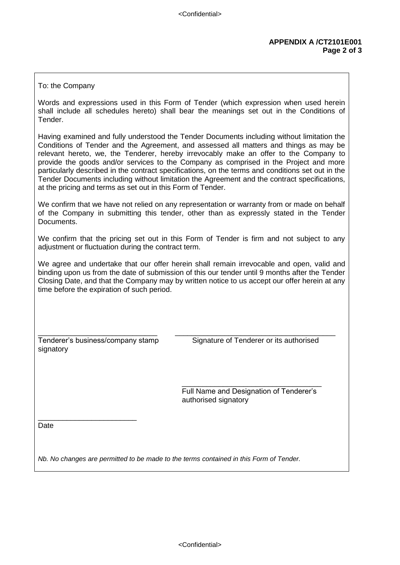## To: the Company

Words and expressions used in this Form of Tender (which expression when used herein shall include all schedules hereto) shall bear the meanings set out in the Conditions of Tender.

Having examined and fully understood the Tender Documents including without limitation the Conditions of Tender and the Agreement, and assessed all matters and things as may be relevant hereto, we, the Tenderer, hereby irrevocably make an offer to the Company to provide the goods and/or services to the Company as comprised in the Project and more particularly described in the contract specifications, on the terms and conditions set out in the Tender Documents including without limitation the Agreement and the contract specifications, at the pricing and terms as set out in this Form of Tender.

We confirm that we have not relied on any representation or warranty from or made on behalf of the Company in submitting this tender, other than as expressly stated in the Tender Documents.

We confirm that the pricing set out in this Form of Tender is firm and not subject to any adjustment or fluctuation during the contract term.

We agree and undertake that our offer herein shall remain irrevocable and open, valid and binding upon us from the date of submission of this our tender until 9 months after the Tender Closing Date, and that the Company may by written notice to us accept our offer herein at any time before the expiration of such period.

signatory

\_\_\_\_\_\_\_\_\_\_\_\_\_\_\_\_\_\_\_\_\_\_\_\_

\_\_\_\_\_\_\_\_\_\_\_\_\_\_\_\_\_\_\_\_\_\_\_\_\_\_\_\_\_ \_\_\_\_\_\_\_\_\_\_\_\_\_\_\_\_\_\_\_\_\_\_\_\_\_\_\_\_\_\_\_\_\_\_\_\_\_\_\_ Tenderer's business/company stamp Signature of Tenderer or its authorised

> $\frac{1}{\sqrt{2}}$  ,  $\frac{1}{\sqrt{2}}$  ,  $\frac{1}{\sqrt{2}}$  ,  $\frac{1}{\sqrt{2}}$  ,  $\frac{1}{\sqrt{2}}$  ,  $\frac{1}{\sqrt{2}}$  ,  $\frac{1}{\sqrt{2}}$  ,  $\frac{1}{\sqrt{2}}$  ,  $\frac{1}{\sqrt{2}}$  ,  $\frac{1}{\sqrt{2}}$  ,  $\frac{1}{\sqrt{2}}$  ,  $\frac{1}{\sqrt{2}}$  ,  $\frac{1}{\sqrt{2}}$  ,  $\frac{1}{\sqrt{2}}$  ,  $\frac{1}{\sqrt{2}}$  Full Name and Designation of Tenderer's authorised signatory

Date

*Nb. No changes are permitted to be made to the terms contained in this Form of Tender.*